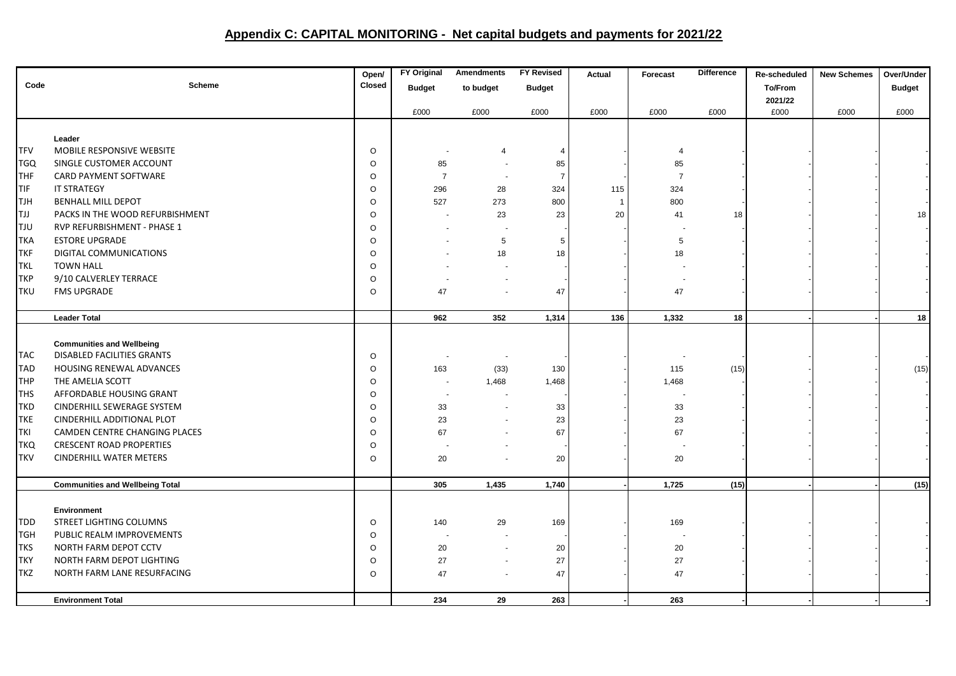## **Appendix C: CAPITAL MONITORING - Net capital budgets and payments for 2021/22**

|            |                                        | Open/   | <b>FY Original</b>       | <b>Amendments</b> | <b>FY Revised</b> | Actual       | Forecast       | Difference | Re-scheduled | <b>New Schemes</b> | Over/Under    |
|------------|----------------------------------------|---------|--------------------------|-------------------|-------------------|--------------|----------------|------------|--------------|--------------------|---------------|
| Code       | <b>Scheme</b>                          | Closed  | <b>Budget</b>            | to budget         | <b>Budget</b>     |              |                |            | To/From      |                    | <b>Budget</b> |
|            |                                        |         |                          |                   |                   |              |                |            | 2021/22      |                    |               |
|            |                                        |         | £000                     | £000              | £000              | £000         | £000           | £000       | £000         | £000               | £000          |
|            |                                        |         |                          |                   |                   |              |                |            |              |                    |               |
|            | Leader                                 |         |                          |                   |                   |              |                |            |              |                    |               |
| TFV        | MOBILE RESPONSIVE WEBSITE              | $\circ$ |                          | 4                 | $\overline{4}$    |              | 4              |            |              |                    |               |
| <b>TGQ</b> | SINGLE CUSTOMER ACCOUNT                | $\circ$ | 85                       |                   | 85                |              | 85             |            |              |                    |               |
| THF        | CARD PAYMENT SOFTWARE                  | $\circ$ | $\overline{7}$           |                   | $\overline{7}$    |              | $\overline{7}$ |            |              |                    |               |
| TIF        | IT STRATEGY                            | $\circ$ | 296                      | 28                | 324               | 115          | 324            |            |              |                    |               |
| <b>TJH</b> | BENHALL MILL DEPOT                     | $\circ$ | 527                      | 273               | 800               | $\mathbf{1}$ | 800            |            |              |                    |               |
| ltjj       | PACKS IN THE WOOD REFURBISHMENT        | $\circ$ |                          | 23                | 23                | 20           | 41             | 18         |              |                    | 18            |
| <b>TJU</b> | RVP REFURBISHMENT - PHASE 1            | $\circ$ |                          |                   |                   |              |                |            |              |                    |               |
| <b>TKA</b> | <b>ESTORE UPGRADE</b>                  | $\circ$ |                          | 5                 | 5                 |              | 5              |            |              |                    |               |
| TKF        | DIGITAL COMMUNICATIONS                 | $\circ$ |                          | 18                | 18                |              | 18             |            |              |                    |               |
| <b>TKL</b> | <b>TOWN HALL</b>                       | $\circ$ |                          |                   |                   |              |                |            |              |                    |               |
| TKP        | 9/10 CALVERLEY TERRACE                 | $\circ$ |                          |                   |                   |              |                |            |              |                    |               |
| <b>TKU</b> | <b>FMS UPGRADE</b>                     | $\circ$ | 47                       |                   | 47                |              | 47             |            |              |                    |               |
|            |                                        |         |                          |                   |                   |              |                |            |              |                    |               |
|            | <b>Leader Total</b>                    |         | 962                      | 352               | 1,314             | 136          | 1,332          | 18         |              |                    | 18            |
|            | <b>Communities and Wellbeing</b>       |         |                          |                   |                   |              |                |            |              |                    |               |
| <b>TAC</b> | DISABLED FACILITIES GRANTS             | $\circ$ |                          |                   |                   |              |                |            |              |                    |               |
| <b>TAD</b> | HOUSING RENEWAL ADVANCES               | $\circ$ | 163                      | (33)              | 130               |              | 115            | (15)       |              |                    | (15)          |
| THP        | THE AMELIA SCOTT                       | $\circ$ | $\overline{\phantom{a}}$ | 1,468             | 1,468             |              | 1,468          |            |              |                    |               |
| <b>THS</b> | AFFORDABLE HOUSING GRANT               | $\circ$ |                          |                   |                   |              |                |            |              |                    |               |
| <b>TKD</b> | CINDERHILL SEWERAGE SYSTEM             | $\circ$ | 33                       |                   | 33                |              | 33             |            |              |                    |               |
| <b>TKE</b> | CINDERHILL ADDITIONAL PLOT             | $\circ$ | 23                       |                   | 23                |              | 23             |            |              |                    |               |
| TKI        | CAMDEN CENTRE CHANGING PLACES          | $\circ$ | 67                       |                   | 67                |              | 67             |            |              |                    |               |
| <b>TKQ</b> | <b>CRESCENT ROAD PROPERTIES</b>        | $\circ$ |                          |                   |                   |              | $\sim$         |            |              |                    |               |
| <b>TKV</b> | <b>CINDERHILL WATER METERS</b>         | $\circ$ | 20                       |                   | 20                |              | 20             |            |              |                    |               |
|            |                                        |         |                          |                   |                   |              |                |            |              |                    |               |
|            | <b>Communities and Wellbeing Total</b> |         | 305                      | 1,435             | 1,740             |              | 1,725          | (15)       |              |                    | (15)          |
|            |                                        |         |                          |                   |                   |              |                |            |              |                    |               |
|            | <b>Environment</b>                     |         |                          |                   |                   |              |                |            |              |                    |               |
| TDD        | STREET LIGHTING COLUMNS                | $\circ$ | 140                      | 29                | 169               |              | 169            |            |              |                    |               |
| <b>TGH</b> | PUBLIC REALM IMPROVEMENTS              | $\circ$ | $\overline{\phantom{a}}$ |                   |                   |              |                |            |              |                    |               |
| <b>TKS</b> | NORTH FARM DEPOT CCTV                  | $\circ$ | 20                       |                   | 20                |              | 20             |            |              |                    |               |
| TKY        | NORTH FARM DEPOT LIGHTING              | $\circ$ | 27                       |                   | 27                |              | 27             |            |              |                    |               |
| <b>TKZ</b> | NORTH FARM LANE RESURFACING            | $\circ$ | 47                       |                   | 47                |              | 47             |            |              |                    |               |
|            | <b>Environment Total</b>               |         | 234                      | 29                | 263               |              | 263            |            |              |                    |               |
|            |                                        |         |                          |                   |                   |              |                |            |              |                    |               |